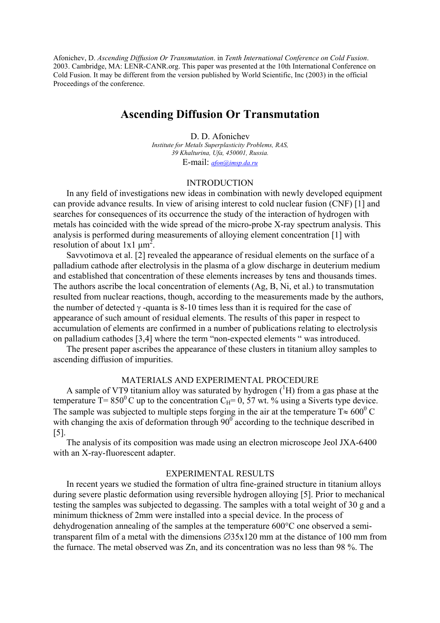Afonichev, D. *Ascending Diffusion Or Transmutation*. in *Tenth International Conference on Cold Fusion*. 2003. Cambridge, MA: LENR-CANR.org. This paper was presented at the 10th International Conference on Cold Fusion. It may be different from the version published by World Scientific, Inc (2003) in the official Proceedings of the conference.

# **Ascending Diffusion Or Transmutation**

D. D. Afonichev *Institute for Metals Superplasticity Problems, RAS, 39 Khalturina, Ufa, 450001, Russia.*  E-mail: *[afon@imsp.da.ru](mailto:afon@imsp.da.ru)*

#### INTRODUCTION

In any field of investigations new ideas in combination with newly developed equipment can provide advance results. In view of arising interest to cold nuclear fusion (CNF) [1] and searches for consequences of its occurrence the study of the interaction of hydrogen with metals has coincided with the wide spread of the micro-probe X-ray spectrum analysis. This analysis is performed during measurements of alloying element concentration [1] with resolution of about 1x1  $\mu$ m<sup>2</sup>.

Savvotimova et al. [2] revealed the appearance of residual elements on the surface of a palladium cathode after electrolysis in the plasma of а glow discharge in deuterium medium and established that concentration of these elements increases by tens and thousands times. The authors ascribe the local concentration of elements (Ag, B, Ni, et al.) to transmutation resulted from nuclear reactions, though, according to the measurements made by the authors, the number of detected  $\gamma$  -quanta is 8-10 times less than it is required for the case of appearance of such amount of residual elements. The results of this paper in respect to accumulation of elements are confirmed in a number of publications relating to electrolysis on palladium cathodes [3,4] where the term "non-expected elements " was introduced.

The present paper ascribes the appearance of these clusters in titanium alloy samples to ascending diffusion of impurities.

## MATERIALS AND EXPERIMENTAL PROCEDURE

A sample of VT9 titanium alloy was saturated by hydrogen  $({}^{1}H)$  from a gas phase at the temperature T= 850<sup>0</sup> C up to the concentration C<sub>H</sub>= 0, 57 wt. % using a Siverts type device. The sample was subjected to multiple steps forging in the air at the temperature T $\approx 600^{\circ}$  C with changing the axis of deformation through  $90^\circ$  according to the technique described in [5].

The analysis of its composition was made using an electron microscope Jeol JXA-6400 with an X-ray-fluorescent adapter.

# EXPERIMENTAL RESULTS

In recent years we studied the formation of ultra fine-grained structure in titanium alloys during severe plastic deformation using reversible hydrogen alloying [5]. Prior to mechanical testing the samples was subjected to degassing. The samples with a total weight of 30 g and a minimum thickness of 2mm were installed into a special device. In the process of dehydrogenation annealing of the samples at the temperature 600°C one observed a semitransparent film of a metal with the dimensions ∅35x120 mm at the distance of 100 mm from the furnace. The metal observed was Zn, and its concentration was no less than 98 %. The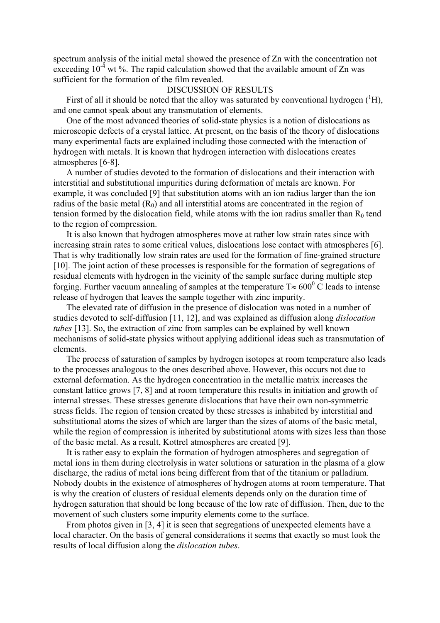spectrum analysis of the initial metal showed the presence of Zn with the concentration not exceeding  $10^{-4}$  wt %. The rapid calculation showed that the available amount of Zn was sufficient for the formation of the film revealed.

## DISCUSSION OF RESULTS

First of all it should be noted that the alloy was saturated by conventional hydrogen  $({}^{1}H)$ , and one cannot speak about any transmutation of elements.

One of the most advanced theories of solid-state physics is a notion of dislocations as microscopic defects of a crystal lattice. At present, on the basis of the theory of dislocations many experimental facts are explained including those connected with the interaction of hydrogen with metals. It is known that hydrogen interaction with dislocations creates atmospheres [6-8].

A number of studies devoted to the formation of dislocations and their interaction with interstitial and substitutional impurities during deformation of metals are known. For example, it was concluded [9] that substitution atoms with an ion radius larger than the ion radius of the basic metal  $(R_0)$  and all interstitial atoms are concentrated in the region of tension formed by the dislocation field, while atoms with the ion radius smaller than  $R_0$  tend to the region of compression.

It is also known that hydrogen atmospheres move at rather low strain rates since with increasing strain rates to some critical values, dislocations lose contact with atmospheres [6]. That is why traditionally low strain rates are used for the formation of fine-grained structure [10]. The joint action of these processes is responsible for the formation of segregations of residual elements with hydrogen in the vicinity of the sample surface during multiple step forging. Further vacuum annealing of samples at the temperature  $T \approx 600^{\circ}$  C leads to intense release of hydrogen that leaves the sample together with zinc impurity.

The elevated rate of diffusion in the presence of dislocation was noted in a number of studies devoted to self-diffusion [11, 12], and was explained as diffusion along *dislocation tubes* [13]. So, the extraction of zinc from samples can be explained by well known mechanisms of solid-state physics without applying additional ideas such as transmutation of elements.

The process of saturation of samples by hydrogen isotopes at room temperature also leads to the processes analogous to the ones described above. However, this occurs not due to external deformation. As the hydrogen concentration in the metallic matrix increases the constant lattice grows [7, 8] and at room temperature this results in initiation and growth of internal stresses. These stresses generate dislocations that have their own non-symmetric stress fields. The region of tension created by these stresses is inhabited by interstitial and substitutional atoms the sizes of which are larger than the sizes of atoms of the basic metal, while the region of compression is inherited by substitutional atoms with sizes less than those of the basic metal. As a result, Kottrel atmospheres are created [9].

It is rather easy to explain the formation of hydrogen atmospheres and segregation of metal ions in them during electrolysis in water solutions or saturation in the plasma of а glow discharge, the radius of metal ions being different from that of the titanium or palladium. Nobody doubts in the existence of atmospheres of hydrogen atoms at room temperature. That is why the creation of clusters of residual elements depends only on the duration time of hydrogen saturation that should be long because of the low rate of diffusion. Then, due to the movement of such clusters some impurity elements come to the surface.

From photos given in [3, 4] it is seen that segregations of unexpected elements have a local character. On the basis of general considerations it seems that exactly so must look the results of local diffusion along the *dislocation tubes*.